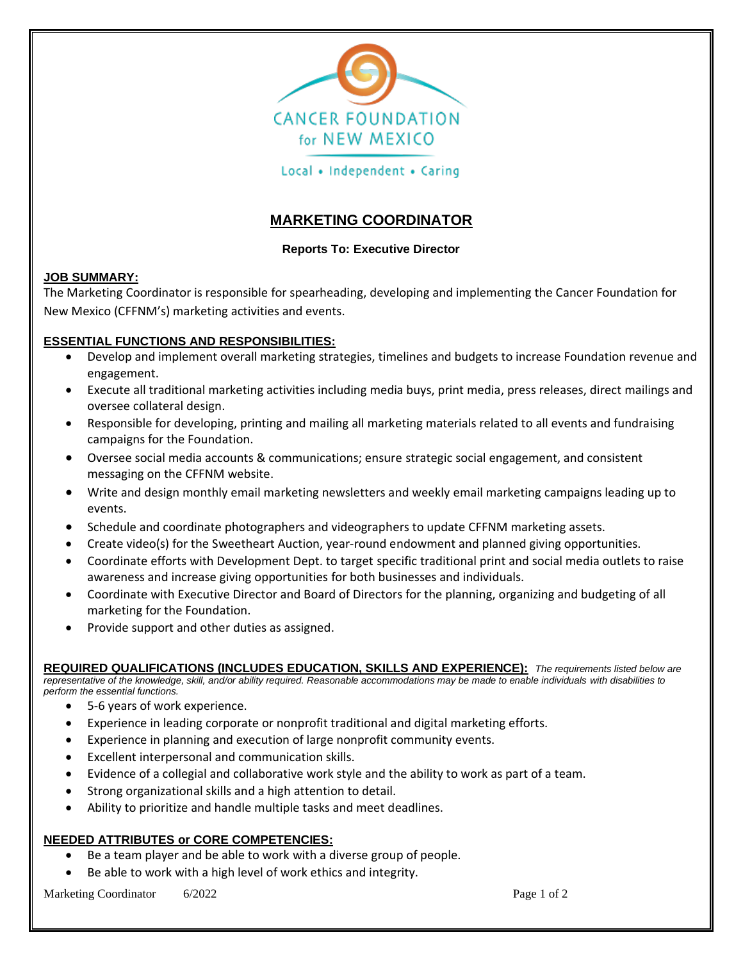

Local • Independent • Caring

# **MARKETING COORDINATOR**

## **Reports To: Executive Director**

### **JOB SUMMARY:**

The Marketing Coordinator is responsible for spearheading, developing and implementing the Cancer Foundation for New Mexico (CFFNM's) marketing activities and events.

## **ESSENTIAL FUNCTIONS AND RESPONSIBILITIES:**

- Develop and implement overall marketing strategies, timelines and budgets to increase Foundation revenue and engagement.
- Execute all traditional marketing activities including media buys, print media, press releases, direct mailings and oversee collateral design.
- Responsible for developing, printing and mailing all marketing materials related to all events and fundraising campaigns for the Foundation.
- Oversee social media accounts & communications; ensure strategic social engagement, and consistent messaging on the CFFNM website.
- Write and design monthly email marketing newsletters and weekly email marketing campaigns leading up to events.
- Schedule and coordinate photographers and videographers to update CFFNM marketing assets.
- Create video(s) for the Sweetheart Auction, year-round endowment and planned giving opportunities.
- Coordinate efforts with Development Dept. to target specific traditional print and social media outlets to raise awareness and increase giving opportunities for both businesses and individuals.
- Coordinate with Executive Director and Board of Directors for the planning, organizing and budgeting of all marketing for the Foundation.
- Provide support and other duties as assigned.

**REQUIRED QUALIFICATIONS (INCLUDES EDUCATION, SKILLS AND EXPERIENCE):** *The requirements listed below are*  representative of the knowledge, skill, and/or ability required. Reasonable accommodations may be made to enable individuals with disabilities to *perform the essential functions.*

- 5-6 years of work experience.
- Experience in leading corporate or nonprofit traditional and digital marketing efforts.
- Experience in planning and execution of large nonprofit community events.
- Excellent interpersonal and communication skills.
- Evidence of a collegial and collaborative work style and the ability to work as part of a team.
- Strong organizational skills and a high attention to detail.
- Ability to prioritize and handle multiple tasks and meet deadlines.

#### **NEEDED ATTRIBUTES or CORE COMPETENCIES:**

- Be a team player and be able to work with a diverse group of people.
- Be able to work with a high level of work ethics and integrity.

Marketing Coordinator 6/2022 **Page 1 of 2**